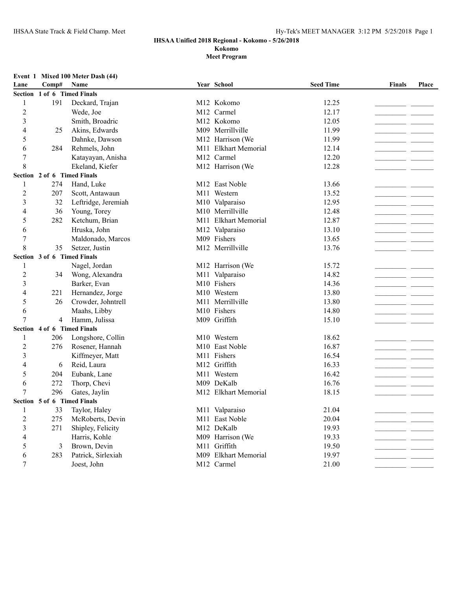#### **IHSAA Unified 2018 Regional - Kokomo - 5/26/2018 Kokomo**

| Lane             | Comp#                       | EVEIL 1 MIXEQ TOO METER DASIL (44)<br>Name |     | Year School             | <b>Seed Time</b> | <b>Finals</b>                  | Place |
|------------------|-----------------------------|--------------------------------------------|-----|-------------------------|------------------|--------------------------------|-------|
|                  | Section 1 of 6 Timed Finals |                                            |     |                         |                  |                                |       |
| 1                | 191                         | Deckard, Trajan                            |     | M12 Kokomo              | 12.25            |                                |       |
| $\overline{c}$   |                             | Wede, Joe                                  |     | M12 Carmel              | 12.17            |                                |       |
| 3                |                             | Smith, Broadric                            |     | M12 Kokomo              | 12.05            |                                |       |
| 4                | 25                          | Akins, Edwards                             |     | M09 Merrillville        | 11.99            |                                |       |
| 5                |                             | Dahnke, Dawson                             |     | M12 Harrison (We        | 11.99            |                                |       |
| 6                | 284                         | Rehmels, John                              | M11 | <b>Elkhart Memorial</b> | 12.14            |                                |       |
| $\boldsymbol{7}$ |                             | Katayayan, Anisha                          |     | M12 Carmel              | 12.20            |                                |       |
| 8                |                             | Ekeland, Kiefer                            |     | M12 Harrison (We        | 12.28            |                                |       |
|                  |                             | Section 2 of 6 Timed Finals                |     |                         |                  |                                |       |
| 1                | 274                         | Hand, Luke                                 |     | M12 East Noble          | 13.66            |                                |       |
| 2                | 207                         | Scott, Antawaun                            |     | M11 Western             | 13.52            |                                |       |
| 3                | 32                          | Leftridge, Jeremiah                        |     | M10 Valparaiso          | 12.95            |                                |       |
| 4                | 36                          | Young, Torey                               |     | M10 Merrillville        | 12.48            |                                |       |
| 5                | 282                         | Ketchum, Brian                             |     | M11 Elkhart Memorial    | 12.87            |                                |       |
| 6                |                             | Hruska, John                               |     | M12 Valparaiso          | 13.10            |                                |       |
| 7                |                             | Maldonado, Marcos                          |     | M09 Fishers             | 13.65            |                                |       |
| 8                | 35                          | Setzer, Justin                             |     | M12 Merrillville        | 13.76            |                                |       |
|                  | Section 3 of 6 Timed Finals |                                            |     |                         |                  |                                |       |
| 1                |                             | Nagel, Jordan                              |     | M12 Harrison (We        | 15.72            |                                |       |
| $\overline{2}$   | 34                          | Wong, Alexandra                            |     | M11 Valparaiso          | 14.82            |                                |       |
| 3                |                             | Barker, Evan                               |     | M10 Fishers             | 14.36            |                                |       |
| 4                | 221                         | Hernandez, Jorge                           |     | M10 Western             | 13.80            |                                |       |
| 5                | 26                          | Crowder, Johntrell                         |     | M11 Merrillville        | 13.80            |                                |       |
| 6                |                             | Maahs, Libby                               |     | M10 Fishers             | 14.80            |                                |       |
| 7                | 4                           | Hamm, Julissa                              |     | M09 Griffith            | 15.10            |                                |       |
|                  | Section 4 of 6 Timed Finals |                                            |     |                         |                  |                                |       |
| -1               | 206                         | Longshore, Collin                          |     | M10 Western             | 18.62            | - -                            |       |
| 2                | 276                         | Rosener, Hannah                            |     | M10 East Noble          | 16.87            |                                |       |
| 3                |                             | Kiffmeyer, Matt                            |     | M11 Fishers             | 16.54            | and the company of the company |       |
| 4                | 6                           | Reid, Laura                                |     | M12 Griffith            | 16.33            | _ _                            |       |
| 5                | 204                         | Eubank, Lane                               |     | M11 Western             | 16.42            | _ _                            |       |
| 6                | 272                         | Thorp, Chevi                               |     | M09 DeKalb              | 16.76            |                                |       |
| 7                | 296                         | Gates, Jaylin                              |     | M12 Elkhart Memorial    | 18.15            |                                |       |
|                  | Section 5 of 6 Timed Finals |                                            |     |                         |                  |                                |       |
|                  | 33                          | Taylor, Haley                              |     | M11 Valparaiso          | 21.04            |                                |       |
| 2                | 275                         | McRoberts, Devin                           |     | M11 East Noble          | 20.04            |                                |       |
| 3                | 271                         | Shipley, Felicity                          |     | M12 DeKalb              | 19.93            |                                |       |
|                  |                             | Harris, Kohle                              |     | M09 Harrison (We        | 19.33            |                                |       |
| 5                | 3                           | Brown, Devin                               |     | M11 Griffith            | 19.50            |                                |       |
| 6                | 283                         | Patrick, Sirlexiah                         |     | M09 Elkhart Memorial    | 19.97            |                                |       |
| 7                |                             | Joest, John                                |     | M12 Carmel              | 21.00            |                                |       |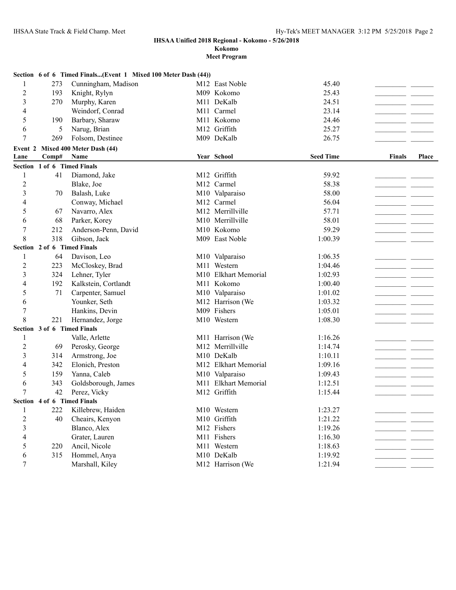**Kokomo**

|                |                             | Section 6 of 6 Timed Finals(Event 1 Mixed 100 Meter Dash (44)) |                            |                  |                 |       |
|----------------|-----------------------------|----------------------------------------------------------------|----------------------------|------------------|-----------------|-------|
| 1              | 273                         | Cunningham, Madison                                            | M <sub>12</sub> East Noble | 45.40            |                 |       |
| 2              | 193                         | Knight, Rylyn                                                  | M09 Kokomo                 | 25.43            |                 |       |
| 3              | 270                         | Murphy, Karen                                                  | M11 DeKalb                 | 24.51            |                 |       |
| 4              |                             | Weindorf, Conrad                                               | M11 Carmel                 | 23.14            |                 |       |
| 5              | 190                         | Barbary, Sharaw                                                | M11 Kokomo                 | 24.46            |                 |       |
| 6              | 5                           | Narug, Brian                                                   | M12 Griffith               | 25.27            |                 |       |
| 7              | 269                         | Folsom, Destinee                                               | M09 DeKalb                 | 26.75            |                 |       |
|                |                             | Event 2 Mixed 400 Meter Dash (44)                              |                            |                  |                 |       |
| Lane           | Comp#                       | Name                                                           | Year School                | <b>Seed Time</b> | Finals          | Place |
|                | Section 1 of 6 Timed Finals |                                                                |                            |                  |                 |       |
| 1              | 41                          | Diamond, Jake                                                  | M12 Griffith               | 59.92            |                 |       |
| $\overline{c}$ |                             | Blake, Joe                                                     | M12 Carmel                 | 58.38            |                 |       |
| 3              | 70                          | Balash, Luke                                                   | M10 Valparaiso             | 58.00            |                 |       |
| 4              |                             | Conway, Michael                                                | M12 Carmel                 | 56.04            |                 |       |
| 5              | 67                          | Navarro, Alex                                                  | M12 Merrillville           | 57.71            |                 |       |
| 6              | 68                          | Parker, Korey                                                  | M10 Merrillville           | 58.01            |                 |       |
| 7              | 212                         | Anderson-Penn, David                                           | M10 Kokomo                 | 59.29            |                 |       |
| 8              | 318                         | Gibson, Jack                                                   | M09 East Noble             | 1:00.39          |                 |       |
|                | Section 2 of 6 Timed Finals |                                                                |                            |                  |                 |       |
| 1              | 64                          | Davison, Leo                                                   | M10 Valparaiso             | 1:06.35          |                 |       |
| $\overline{c}$ | 223                         | McCloskey, Brad                                                | M11 Western                | 1:04.46          |                 |       |
| 3              | 324                         | Lehner, Tyler                                                  | M10 Elkhart Memorial       | 1:02.93          |                 |       |
| 4              | 192                         | Kalkstein, Cortlandt                                           | M11 Kokomo                 | 1:00.40          |                 |       |
| 5              | 71                          | Carpenter, Samuel                                              | M10 Valparaiso             | 1:01.02          |                 |       |
| 6              |                             | Younker, Seth                                                  | M12 Harrison (We           | 1:03.32          |                 |       |
| 7              |                             | Hankins, Devin                                                 | M09 Fishers                | 1:05.01          |                 |       |
| 8              | 221                         | Hernandez, Jorge                                               | M10 Western                | 1:08.30          |                 |       |
|                | Section 3 of 6 Timed Finals |                                                                |                            |                  |                 |       |
| 1              |                             | Valle, Arlette                                                 | M11 Harrison (We           | 1:16.26          |                 |       |
| 2              | 69                          | Perosky, George                                                | M12 Merrillville           | 1:14.74          |                 |       |
| 3              | 314                         | Armstrong, Joe                                                 | M10 DeKalb                 | 1:10.11          |                 |       |
| 4              | 342                         | Elonich, Preston                                               | M12 Elkhart Memorial       | 1:09.16          | and the control |       |
| 5              | 159                         | Yanna, Caleb                                                   | M10 Valparaiso             | 1:09.43          |                 |       |
| 6              | 343                         | Goldsborough, James                                            | M11 Elkhart Memorial       | 1:12.51          |                 |       |
| 7              | 42                          | Perez, Vicky                                                   | M12 Griffith               | 1:15.44          |                 |       |
|                | Section 4 of 6 Timed Finals |                                                                |                            |                  |                 |       |
| 1              | 222                         | Killebrew, Haiden                                              | M10 Western                | 1:23.27          |                 |       |
| $\overline{c}$ | 40                          | Cheairs, Kenyon                                                | M10 Griffith               | 1:21.22          |                 |       |
| 3              |                             | Blanco, Alex                                                   | M12 Fishers                | 1:19.26          |                 |       |
| 4              |                             | Grater, Lauren                                                 | M11 Fishers                | 1:16.30          |                 |       |
| 5              | 220                         | Ancil, Nicole                                                  | M11 Western                | 1:18.63          |                 |       |
| 6              | 315                         | Hommel, Anya                                                   | M10 DeKalb                 | 1:19.92          |                 |       |
| 7              |                             | Marshall, Kiley                                                | M12 Harrison (We           | 1:21.94          |                 |       |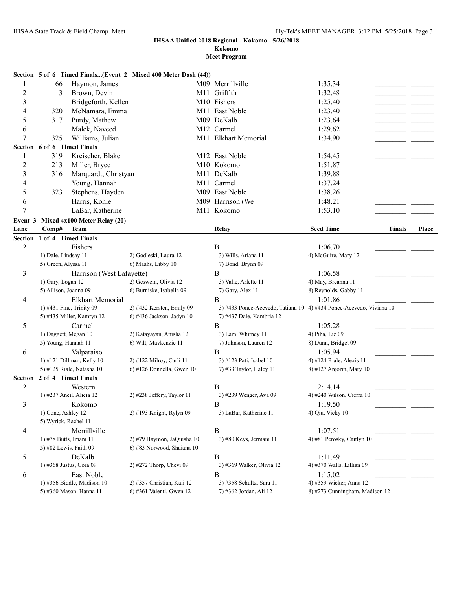**Kokomo**

|                | Section 5 of 6 Timed Finals(Event 2 Mixed 400 Meter Dash (44)) |                              |                                                                     |                                |               |              |  |  |
|----------------|----------------------------------------------------------------|------------------------------|---------------------------------------------------------------------|--------------------------------|---------------|--------------|--|--|
| 1              | Haymon, James<br>66                                            |                              | M09 Merrillville                                                    | 1:35.34                        |               |              |  |  |
| $\overline{c}$ | Brown, Devin<br>3                                              |                              | M11 Griffith                                                        | 1:32.48                        |               |              |  |  |
| 3              | Bridgeforth, Kellen                                            |                              | M10 Fishers                                                         | 1:25.40                        |               |              |  |  |
| 4              | 320<br>McNamara, Emma                                          |                              | M11 East Noble                                                      | 1:23.40                        |               |              |  |  |
| 5              | Purdy, Mathew<br>317                                           |                              | M09 DeKalb                                                          | 1:23.64                        |               |              |  |  |
| 6              | Malek, Naveed                                                  |                              | M12 Carmel                                                          | 1:29.62                        |               |              |  |  |
| $\overline{7}$ | 325<br>Williams, Julian                                        |                              | M11 Elkhart Memorial                                                | 1:34.90                        |               |              |  |  |
|                | Section 6 of 6 Timed Finals                                    |                              |                                                                     |                                |               |              |  |  |
| 1              | 319<br>Kreischer, Blake                                        |                              | M12 East Noble                                                      | 1:54.45                        |               |              |  |  |
| $\overline{c}$ | 213<br>Miller, Bryce                                           |                              | M10 Kokomo                                                          | 1:51.87                        |               |              |  |  |
| 3              | Marquardt, Christyan<br>316                                    |                              | M11 DeKalb                                                          | 1:39.88                        |               |              |  |  |
| 4              | Young, Hannah                                                  |                              | M11 Carmel                                                          | 1:37.24                        |               |              |  |  |
|                |                                                                |                              |                                                                     |                                |               |              |  |  |
| 5              | Stephens, Hayden<br>323                                        |                              | M09 East Noble                                                      | 1:38.26                        |               |              |  |  |
| 6              | Harris, Kohle                                                  |                              | M09 Harrison (We                                                    | 1:48.21                        |               |              |  |  |
| 7              | LaBar, Katherine                                               |                              | M11 Kokomo                                                          | 1:53.10                        |               |              |  |  |
| Event 3        | Mixed 4x100 Meter Relay (20)                                   |                              |                                                                     |                                |               |              |  |  |
| Lane           | Comp#<br><b>Team</b>                                           |                              | Relay                                                               | <b>Seed Time</b>               | <b>Finals</b> | <b>Place</b> |  |  |
|                | Section 1 of 4 Timed Finals                                    |                              |                                                                     |                                |               |              |  |  |
| $\overline{2}$ | Fishers                                                        |                              | B                                                                   | 1:06.70                        |               |              |  |  |
|                | 1) Dale, Lindsay 11                                            | 2) Godleski, Laura 12        | 3) Wills, Ariana 11                                                 | 4) McGuire, Mary 12            |               |              |  |  |
|                | 5) Green, Alyssa 11                                            | 6) Maahs, Libby 10           | 7) Bond, Brynn 09                                                   |                                |               |              |  |  |
| 3              | Harrison (West Lafayette)                                      |                              | B                                                                   | 1:06.58                        |               |              |  |  |
|                | 1) Gary, Logan 12                                              | 2) Geswein, Olivia 12        | 3) Valle, Arlette 11                                                | 4) May, Breanna 11             |               |              |  |  |
|                | 5) Allison, Joanna 09                                          | 6) Burniske, Isabella 09     | 7) Gary, Alex 11                                                    | 8) Reynolds, Gabby 11          |               |              |  |  |
| 4              | <b>Elkhart Memorial</b>                                        |                              | B                                                                   | 1:01.86                        |               |              |  |  |
|                | 1) #431 Fine, Trinity 09                                       | 2) #432 Kersten, Emily 09    | 3) #433 Ponce-Acevedo, Tatiana 10 4) #434 Ponce-Acevedo, Viviana 10 |                                |               |              |  |  |
|                | 5) #435 Miller, Kamryn 12                                      | 6) #436 Jackson, Jadyn 10    | 7) #437 Dale, Kambria 12                                            |                                |               |              |  |  |
| $\sqrt{5}$     | Carmel                                                         |                              | B                                                                   | 1:05.28                        |               |              |  |  |
|                | 1) Daggett, Megan 10                                           | 2) Katayayan, Anisha 12      | 3) Lam, Whitney 11                                                  | 4) Piha, Liz 09                |               |              |  |  |
|                | 5) Young, Hannah 11                                            | 6) Wilt, Mavkenzie 11        | 7) Johnson, Lauren 12                                               | 8) Dunn, Bridget 09            |               |              |  |  |
| 6              | Valparaiso                                                     |                              | B                                                                   | 1:05.94                        |               |              |  |  |
|                | 1) #121 Dillman, Kelly 10                                      | 2) #122 Milroy, Carli 11     | 3) #123 Pati, Isabel 10                                             | 4) #124 Riale, Alexis 11       |               |              |  |  |
|                | 5) #125 Riale, Natasha 10                                      | $6$ ) #126 Donnella, Gwen 10 | 7) #33 Taylor, Haley 11                                             | 8) #127 Anjorin, Mary 10       |               |              |  |  |
|                | Section 2 of 4 Timed Finals                                    |                              |                                                                     |                                |               |              |  |  |
| $\overline{2}$ | Western                                                        |                              | $\, {\bf B}$                                                        | 2:14.14                        |               |              |  |  |
|                | 1) #237 Ancil, Alicia 12                                       | 2) #238 Jeffery, Taylor 11   | 3) #239 Wenger, Ava 09                                              | 4) #240 Wilson, Cierra 10      |               |              |  |  |
| 3              | Kokomo                                                         |                              | B                                                                   | 1:19.50                        |               |              |  |  |
|                | 1) Cone, Ashley 12                                             | 2) #193 Knight, Rylyn 09     | 3) LaBar, Katherine 11                                              | 4) Qiu, Vicky 10               |               |              |  |  |
|                | 5) Wyrick, Rachel 11                                           |                              |                                                                     |                                |               |              |  |  |
| 4              | Merrillville                                                   |                              | $\, {\bf B}$                                                        | 1:07.51                        |               |              |  |  |
|                | 1) #78 Butts, Imani 11                                         | 2) #79 Haymon, JaQuisha 10   | 3) #80 Keys, Jermani 11                                             | 4) #81 Perosky, Caitlyn 10     |               |              |  |  |
|                | 5) #82 Lewis, Faith 09                                         | 6) #83 Norwood, Shaiana 10   |                                                                     |                                |               |              |  |  |
| 5              | DeKalb                                                         |                              | $\, {\bf B}$                                                        | 1:11.49                        |               |              |  |  |
|                | 1) #368 Justus, Cora 09                                        | 2) #272 Thorp, Chevi 09      | 3) #369 Walker, Olivia 12                                           | 4) #370 Walls, Lillian 09      |               |              |  |  |
| 6              | East Noble                                                     |                              | B                                                                   | 1:15.02                        |               |              |  |  |
|                | 1) #356 Biddle, Madison 10                                     | 2) #357 Christian, Kali 12   | 3) #358 Schultz, Sara 11                                            | 4) #359 Wicker, Anna 12        |               |              |  |  |
|                | 5) #360 Mason, Hanna 11                                        | 6) #361 Valenti, Gwen 12     | 7) #362 Jordan, Ali 12                                              | 8) #273 Cunningham, Madison 12 |               |              |  |  |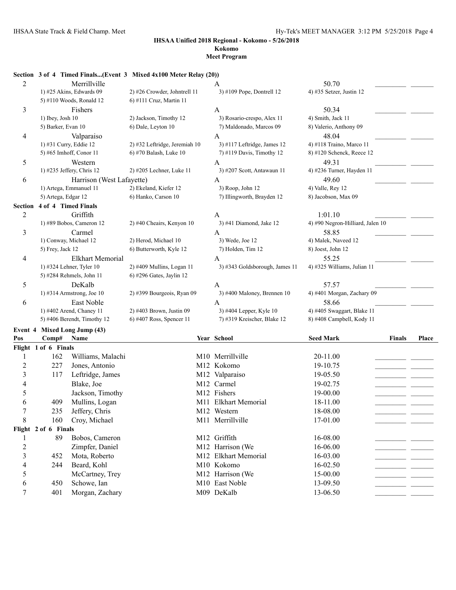## **Kokomo**

## **Meet Program**

### **Section 3 of 4 Timed Finals...(Event 3 Mixed 4x100 Meter Relay (20))**

| $\overline{c}$ | Merrillville                |                               | A                              | 50.70                             |       |
|----------------|-----------------------------|-------------------------------|--------------------------------|-----------------------------------|-------|
|                | 1) #25 Akins, Edwards 09    | 2) #26 Crowder, Johntrell 11  | 3) #109 Pope, Dontrell 12      | 4) #35 Setzer, Justin 12          |       |
|                | 5) #110 Woods, Ronald 12    | 6) #111 Cruz, Martin 11       |                                |                                   |       |
| 3              | Fishers                     |                               | A                              | 50.34                             |       |
|                | 1) Ibey, Josh 10            | 2) Jackson, Timothy 12        | 3) Rosario-crespo, Alex 11     | 4) Smith, Jack 11                 |       |
|                | 5) Barker, Evan 10          | 6) Dale, Leyton 10            | 7) Maldonado, Marcos 09        | 8) Valerio, Anthony 09            |       |
| 4              | Valparaiso                  |                               | A                              | 48.04                             |       |
|                | 1) #31 Curry, Eddie 12      | 2) #32 Leftridge, Jeremiah 10 | 3) #117 Leftridge, James 12    | 4) #118 Traino, Marco 11          |       |
|                | 5) #65 Imhoff, Conor 11     | 6) #70 Balash, Luke 10        | 7) #119 Davis, Timothy 12      | 8) #120 Schenck, Reece 12         |       |
| 5              | Western                     |                               | А                              | 49.31                             |       |
|                | 1) #235 Jeffery, Chris 12   | 2) #205 Lechner, Luke 11      | 3) #207 Scott, Antawaun 11     | 4) #236 Turner, Hayden 11         |       |
| 6              | Harrison (West Lafayette)   |                               | A                              | 49.60                             |       |
|                | 1) Artega, Emmanuel 11      | 2) Ekeland, Kiefer 12         | 3) Roop, John 12               | 4) Valle, Rey 12                  |       |
|                | 5) Artega, Edgar 12         | 6) Hanko, Carson 10           | 7) Illingworth, Brayden 12     | 8) Jacobson, Max 09               |       |
| Section        | 4 of 4 Timed Finals         |                               |                                |                                   |       |
| $\overline{c}$ | Griffith                    |                               | A                              | 1:01.10                           |       |
|                | 1) #89 Bobos, Cameron 12    | 2) #40 Cheairs, Kenyon 10     | 3) #41 Diamond, Jake 12        | 4) #90 Negron-Hilliard, Jalen 10  |       |
| 3              | Carmel                      |                               | A                              | 58.85                             |       |
|                | 1) Conway, Michael 12       | 2) Herod, Michael 10          | 3) Wede, Joe 12                | 4) Malek, Naveed 12               |       |
|                | 5) Frey, Jack 12            | 6) Butterworth, Kyle 12       | 7) Holden, Tim 12              | 8) Joest, John 12                 |       |
| 4              | <b>Elkhart Memorial</b>     |                               | A                              | 55.25                             |       |
|                | 1) #324 Lehner, Tyler 10    | 2) #409 Mullins, Logan 11     | 3) #343 Goldsborough, James 11 | 4) #325 Williams, Julian 11       |       |
|                | 5) #284 Rehmels, John 11    | 6) #296 Gates, Jaylin 12      |                                |                                   |       |
| 5              | DeKalb                      |                               | A                              | 57.57                             |       |
|                | 1) #314 Armstrong, Joe 10   | 2) #399 Bourgeois, Ryan 09    | 3) #400 Maloney, Brennen 10    | 4) #401 Morgan, Zachary 09        |       |
| 6              | East Noble                  |                               | A                              | 58.66                             |       |
|                | 1) #402 Arend, Chaney 11    | 2) #403 Brown, Justin 09      | 3) #404 Lepper, Kyle 10        | 4) #405 Swaggart, Blake 11        |       |
|                | 5) #406 Berendt, Timothy 12 | 6) #407 Ross, Spencer 11      | 7) #319 Kreischer, Blake 12    | 8) #408 Campbell, Kody 11         |       |
| Event 4        | <b>Mixed Long Jump (43)</b> |                               |                                |                                   |       |
| Pos            | Comp#<br>Name               |                               | Year School                    | <b>Seed Mark</b><br><b>Finals</b> | Place |
|                | Flight 1 of 6 Finals        |                               |                                |                                   |       |
| 1              | 162<br>Williams, Malachi    |                               | M10 Merrillville               | 20-11.00                          |       |
| $\sqrt{2}$     | 227<br>Jones, Antonio       |                               | M12 Kokomo                     | 19-10.75                          |       |
| 3              | Leftridge, James<br>117     |                               | M12 Valparaiso                 | 19-05.50                          |       |
| 4              | Blake, Joe                  |                               | M12 Carmel                     | 19-02.75                          |       |
| 5              | Jackson, Timothy            |                               | M12 Fishers                    | 19-00.00                          |       |
| 6              | Mullins, Logan<br>409       |                               | M11 Elkhart Memorial           | 18-11.00                          |       |
| 7              | 235<br>Jeffery, Chris       |                               | M12 Western                    | 18-08.00                          |       |
| 8              | 160<br>Croy, Michael        |                               | M11 Merrillville               | 17-01.00                          |       |
|                | Flight 2 of 6 Finals        |                               |                                |                                   |       |
| $\mathbf{I}$   | 89<br>Bobos, Cameron        |                               | M12 Griffith                   | 16-08.00                          |       |
| $\overline{c}$ | Zimpfer, Daniel             |                               | M12 Harrison (We               | 16-06.00                          |       |
| 3              | Mota, Roberto<br>452        |                               | M12 Elkhart Memorial           | 16-03.00                          |       |
| 4              | Beard, Kohl<br>244          |                               | M10 Kokomo                     | 16-02.50                          |       |
| 5              | McCartney, Trey             |                               | M12 Harrison (We               | 15-00.00                          |       |
| 6              | Schowe, Ian<br>450          |                               | M10 East Noble                 | 13-09.50                          |       |
| 7              | Morgan, Zachary<br>401      |                               | M09 DeKalb                     | 13-06.50                          |       |
|                |                             |                               |                                |                                   |       |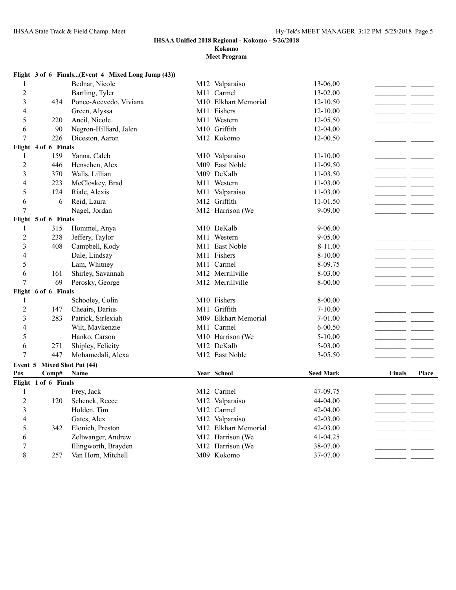## **Kokomo**

|                         |                             | Flight 3 of 6 Finals(Event 4 Mixed Long Jump (43)) |                            |                  |                          |                |
|-------------------------|-----------------------------|----------------------------------------------------|----------------------------|------------------|--------------------------|----------------|
| 1                       |                             | Bednar, Nicole                                     | M12 Valparaiso             | 13-06.00         |                          |                |
| $\overline{2}$          |                             | Bartling, Tyler                                    | M11 Carmel                 | 13-02.00         |                          |                |
| $\overline{\mathbf{3}}$ | 434                         | Ponce-Acevedo, Viviana                             | M10 Elkhart Memorial       | $12 - 10.50$     |                          |                |
| 4                       |                             | Green, Alyssa                                      | M11 Fishers                | 12-10.00         | <b>Contract</b>          |                |
| 5                       | 220                         | Ancil, Nicole                                      | M11 Western                | 12-05.50         |                          | <b>College</b> |
| 6                       | 90                          | Negron-Hilliard, Jalen                             | M10 Griffith               | 12-04.00         |                          |                |
| $\tau$                  | 226                         | Diceston, Aaron                                    | M12 Kokomo                 | 12-00.50         |                          |                |
|                         | Flight 4 of 6 Finals        |                                                    |                            |                  |                          |                |
| 1                       | 159                         | Yanna, Caleb                                       | M10 Valparaiso             | $11 - 10.00$     |                          |                |
| $\overline{2}$          | 446                         | Henschen, Alex                                     | M09 East Noble             | 11-09.50         |                          |                |
| 3                       | 370                         | Walls, Lillian                                     | M09 DeKalb                 | 11-03.50         |                          |                |
| 4                       | 223                         | McCloskey, Brad                                    | M11 Western                | 11-03.00         | $\overline{\phantom{a}}$ |                |
| 5                       | 124                         | Riale, Alexis                                      | M11 Valparaiso             | $11 - 03.00$     |                          | $\sim$         |
| 6                       | 6                           | Reid, Laura                                        | M12 Griffith               | 11-01.50         |                          |                |
| $\overline{7}$          |                             | Nagel, Jordan                                      | M12 Harrison (We           | 9-09.00          |                          |                |
|                         | Flight 5 of 6 Finals        |                                                    |                            |                  |                          |                |
| 1                       | 315                         | Hommel, Anya                                       | M10 DeKalb                 | $9 - 06.00$      |                          |                |
| $\overline{2}$          | 238                         | Jeffery, Taylor                                    | M11 Western                | 9-05.00          |                          |                |
| 3                       | 408                         | Campbell, Kody                                     | M <sub>11</sub> East Noble | 8-11.00          |                          |                |
| 4                       |                             | Dale, Lindsay                                      | M11 Fishers                | 8-10.00          |                          |                |
| 5                       |                             | Lam, Whitney                                       | M11 Carmel                 | 8-09.75          |                          |                |
| 6                       | 161                         | Shirley, Savannah                                  | M12 Merrillville           | 8-03.00          |                          |                |
| $\overline{7}$          | 69                          | Perosky, George                                    | M12 Merrillville           | 8-00.00          |                          |                |
|                         | Flight 6 of 6 Finals        |                                                    |                            |                  |                          |                |
| 1                       |                             | Schooley, Colin                                    | M10 Fishers                | 8-00.00          |                          |                |
| $\overline{c}$          | 147                         | Cheairs, Darius                                    | M11 Griffith               | $7 - 10.00$      |                          |                |
| 3                       | 283                         | Patrick, Sirlexiah                                 | M09 Elkhart Memorial       | 7-01.00          |                          |                |
| 4                       |                             | Wilt, Mavkenzie                                    | M11 Carmel                 | $6 - 00.50$      |                          |                |
| 5                       |                             | Hanko, Carson                                      | M10 Harrison (We           | $5 - 10.00$      |                          |                |
| 6                       | 271                         | Shipley, Felicity                                  | M12 DeKalb                 | 5-03.00          |                          |                |
| $\overline{7}$          | 447                         | Mohamedali, Alexa                                  | M12 East Noble             | $3 - 05.50$      |                          |                |
|                         | Event 5 Mixed Shot Put (44) |                                                    |                            |                  |                          |                |
| Pos                     | Comp#                       | <b>Name</b>                                        | Year School                | <b>Seed Mark</b> | <b>Finals</b>            | Place          |
|                         | Flight 1 of 6 Finals        |                                                    |                            |                  |                          |                |
| $\mathbf{1}$            |                             | Frey, Jack                                         | M12 Carmel                 | 47-09.75         |                          |                |
| $\overline{2}$          | 120                         | Schenck, Reece                                     | M12 Valparaiso             | 44-04.00         | $ -$                     |                |
| 3                       |                             | Holden, Tim                                        | M12 Carmel                 | 42-04.00         |                          |                |
| 4                       |                             | Gates, Alex                                        | M12 Valparaiso             | 42-03.00         |                          |                |
| 5                       | 342                         | Elonich, Preston                                   | M12 Elkhart Memorial       | 42-03.00         |                          |                |
| 6                       |                             | Zeltwanger, Andrew                                 | M12 Harrison (We           | 41-04.25         |                          |                |
| 7                       |                             | Illingworth, Brayden                               | M12 Harrison (We           | 38-07.00         |                          | $\sim$         |
| 8                       | 257                         | Van Horn, Mitchell                                 | M09 Kokomo                 | 37-07.00         |                          |                |